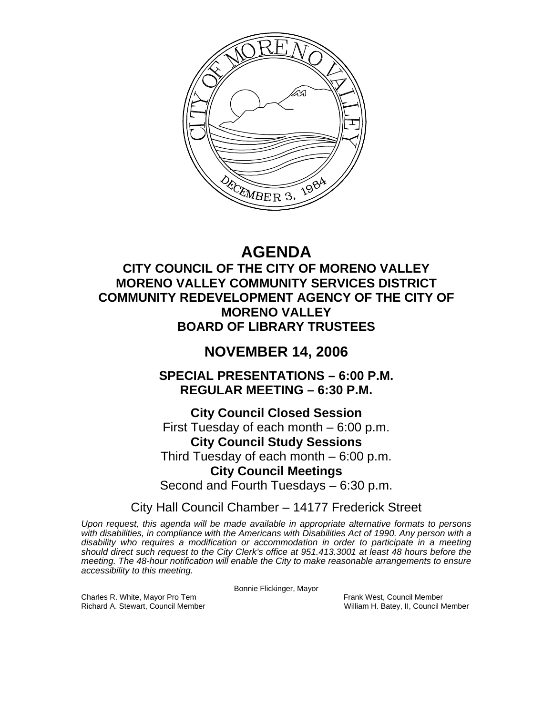

# **AGENDA**

# **CITY COUNCIL OF THE CITY OF MORENO VALLEY MORENO VALLEY COMMUNITY SERVICES DISTRICT COMMUNITY REDEVELOPMENT AGENCY OF THE CITY OF MORENO VALLEY BOARD OF LIBRARY TRUSTEES**

# **NOVEMBER 14, 2006**

**SPECIAL PRESENTATIONS – 6:00 P.M. REGULAR MEETING – 6:30 P.M.** 

**City Council Closed Session**  First Tuesday of each month – 6:00 p.m. **City Council Study Sessions**  Third Tuesday of each month – 6:00 p.m. **City Council Meetings**  Second and Fourth Tuesdays – 6:30 p.m.

City Hall Council Chamber – 14177 Frederick Street

*Upon request, this agenda will be made available in appropriate alternative formats to persons with disabilities, in compliance with the Americans with Disabilities Act of 1990. Any person with a disability who requires a modification or accommodation in order to participate in a meeting should direct such request to the City Clerk's office at 951.413.3001 at least 48 hours before the meeting. The 48-hour notification will enable the City to make reasonable arrangements to ensure accessibility to this meeting.* 

Bonnie Flickinger, Mayor

Charles R. White, Mayor Pro Tem Frank West, Council Member<br>
Richard A. Stewart, Council Member<br>
William H. Batey, II, Council N

William H. Batey, II, Council Member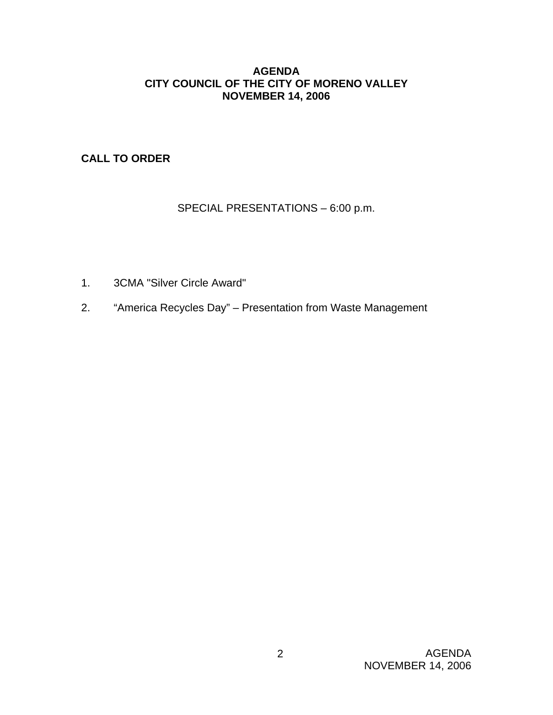#### **AGENDA CITY COUNCIL OF THE CITY OF MORENO VALLEY NOVEMBER 14, 2006**

**CALL TO ORDER**

SPECIAL PRESENTATIONS – 6:00 p.m.

- 1. 3CMA "Silver Circle Award"
- 2. "America Recycles Day" Presentation from Waste Management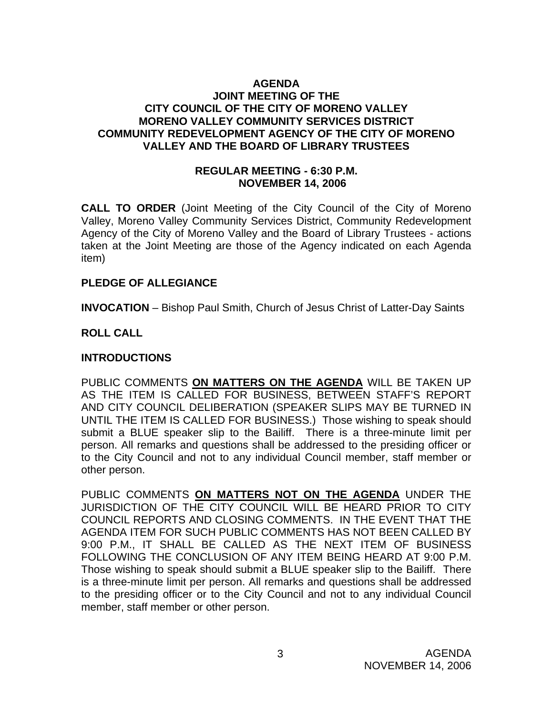#### **AGENDA JOINT MEETING OF THE CITY COUNCIL OF THE CITY OF MORENO VALLEY MORENO VALLEY COMMUNITY SERVICES DISTRICT COMMUNITY REDEVELOPMENT AGENCY OF THE CITY OF MORENO VALLEY AND THE BOARD OF LIBRARY TRUSTEES**

#### **REGULAR MEETING - 6:30 P.M. NOVEMBER 14, 2006**

**CALL TO ORDER** (Joint Meeting of the City Council of the City of Moreno Valley, Moreno Valley Community Services District, Community Redevelopment Agency of the City of Moreno Valley and the Board of Library Trustees - actions taken at the Joint Meeting are those of the Agency indicated on each Agenda item)

#### **PLEDGE OF ALLEGIANCE**

**INVOCATION** – Bishop Paul Smith, Church of Jesus Christ of Latter-Day Saints

#### **ROLL CALL**

#### **INTRODUCTIONS**

PUBLIC COMMENTS **ON MATTERS ON THE AGENDA** WILL BE TAKEN UP AS THE ITEM IS CALLED FOR BUSINESS, BETWEEN STAFF'S REPORT AND CITY COUNCIL DELIBERATION (SPEAKER SLIPS MAY BE TURNED IN UNTIL THE ITEM IS CALLED FOR BUSINESS.) Those wishing to speak should submit a BLUE speaker slip to the Bailiff. There is a three-minute limit per person. All remarks and questions shall be addressed to the presiding officer or to the City Council and not to any individual Council member, staff member or other person.

PUBLIC COMMENTS **ON MATTERS NOT ON THE AGENDA** UNDER THE JURISDICTION OF THE CITY COUNCIL WILL BE HEARD PRIOR TO CITY COUNCIL REPORTS AND CLOSING COMMENTS. IN THE EVENT THAT THE AGENDA ITEM FOR SUCH PUBLIC COMMENTS HAS NOT BEEN CALLED BY 9:00 P.M., IT SHALL BE CALLED AS THE NEXT ITEM OF BUSINESS FOLLOWING THE CONCLUSION OF ANY ITEM BEING HEARD AT 9:00 P.M. Those wishing to speak should submit a BLUE speaker slip to the Bailiff. There is a three-minute limit per person. All remarks and questions shall be addressed to the presiding officer or to the City Council and not to any individual Council member, staff member or other person.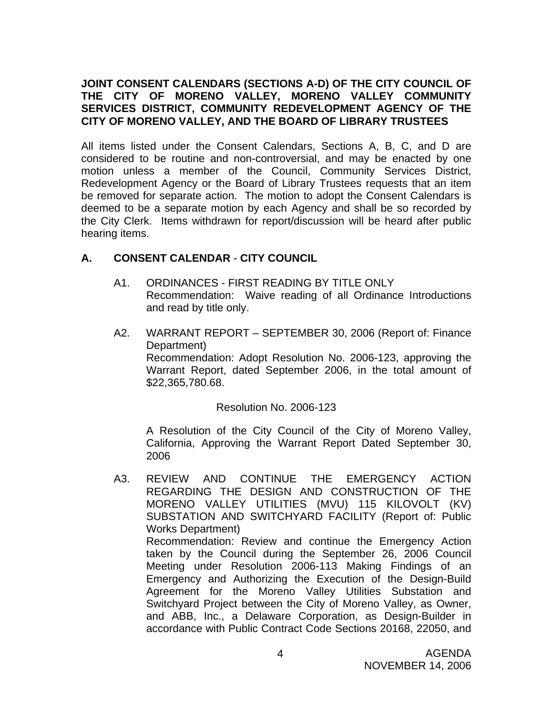#### **JOINT CONSENT CALENDARS (SECTIONS A-D) OF THE CITY COUNCIL OF THE CITY OF MORENO VALLEY, MORENO VALLEY COMMUNITY SERVICES DISTRICT, COMMUNITY REDEVELOPMENT AGENCY OF THE CITY OF MORENO VALLEY, AND THE BOARD OF LIBRARY TRUSTEES**

All items listed under the Consent Calendars, Sections A, B, C, and D are considered to be routine and non-controversial, and may be enacted by one motion unless a member of the Council, Community Services District, Redevelopment Agency or the Board of Library Trustees requests that an item be removed for separate action. The motion to adopt the Consent Calendars is deemed to be a separate motion by each Agency and shall be so recorded by the City Clerk. Items withdrawn for report/discussion will be heard after public hearing items.

# **A. CONSENT CALENDAR** - **CITY COUNCIL**

- A1. ORDINANCES FIRST READING BY TITLE ONLY Recommendation: Waive reading of all Ordinance Introductions and read by title only.
- A2. WARRANT REPORT SEPTEMBER 30, 2006 (Report of: Finance Department) Recommendation: Adopt Resolution No. 2006-123, approving the Warrant Report, dated September 2006, in the total amount of \$22,365,780.68.

Resolution No. 2006-123

A Resolution of the City Council of the City of Moreno Valley, California, Approving the Warrant Report Dated September 30, 2006

A3. REVIEW AND CONTINUE THE EMERGENCY ACTION REGARDING THE DESIGN AND CONSTRUCTION OF THE MORENO VALLEY UTILITIES (MVU) 115 KILOVOLT (KV) SUBSTATION AND SWITCHYARD FACILITY (Report of: Public Works Department) Recommendation: Review and continue the Emergency Action taken by the Council during the September 26, 2006 Council Meeting under Resolution 2006-113 Making Findings of an Emergency and Authorizing the Execution of the Design-Build Agreement for the Moreno Valley Utilities Substation and Switchyard Project between the City of Moreno Valley, as Owner, and ABB, Inc., a Delaware Corporation, as Design-Builder in accordance with Public Contract Code Sections 20168, 22050, and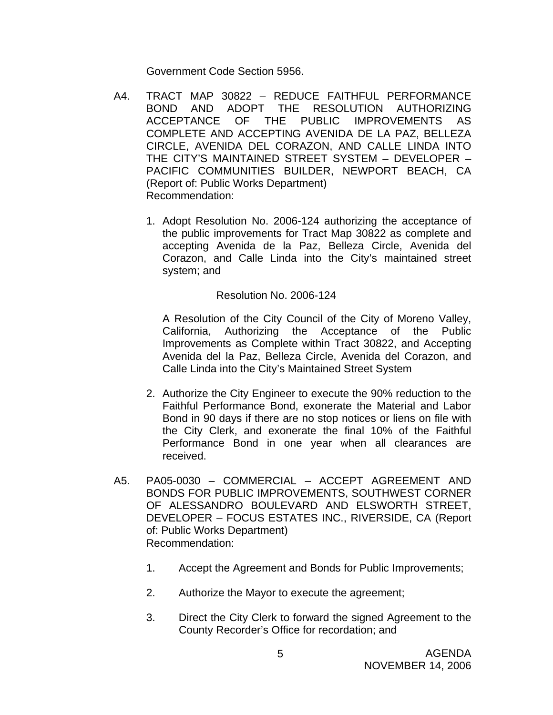Government Code Section 5956.

- A4. TRACT MAP 30822 REDUCE FAITHFUL PERFORMANCE BOND AND ADOPT THE RESOLUTION AUTHORIZING ACCEPTANCE OF THE PUBLIC IMPROVEMENTS AS COMPLETE AND ACCEPTING AVENIDA DE LA PAZ, BELLEZA CIRCLE, AVENIDA DEL CORAZON, AND CALLE LINDA INTO THE CITY'S MAINTAINED STREET SYSTEM – DEVELOPER – PACIFIC COMMUNITIES BUILDER, NEWPORT BEACH, CA (Report of: Public Works Department) Recommendation:
	- 1. Adopt Resolution No. 2006-124 authorizing the acceptance of the public improvements for Tract Map 30822 as complete and accepting Avenida de la Paz, Belleza Circle, Avenida del Corazon, and Calle Linda into the City's maintained street system; and

#### Resolution No. 2006-124

A Resolution of the City Council of the City of Moreno Valley, California, Authorizing the Acceptance of the Public Improvements as Complete within Tract 30822, and Accepting Avenida del la Paz, Belleza Circle, Avenida del Corazon, and Calle Linda into the City's Maintained Street System

- 2. Authorize the City Engineer to execute the 90% reduction to the Faithful Performance Bond, exonerate the Material and Labor Bond in 90 days if there are no stop notices or liens on file with the City Clerk, and exonerate the final 10% of the Faithful Performance Bond in one year when all clearances are received.
- A5. PA05-0030 COMMERCIAL ACCEPT AGREEMENT AND BONDS FOR PUBLIC IMPROVEMENTS, SOUTHWEST CORNER OF ALESSANDRO BOULEVARD AND ELSWORTH STREET, DEVELOPER – FOCUS ESTATES INC., RIVERSIDE, CA (Report of: Public Works Department) Recommendation:
	- 1. Accept the Agreement and Bonds for Public Improvements;
	- 2. Authorize the Mayor to execute the agreement;
	- 3. Direct the City Clerk to forward the signed Agreement to the County Recorder's Office for recordation; and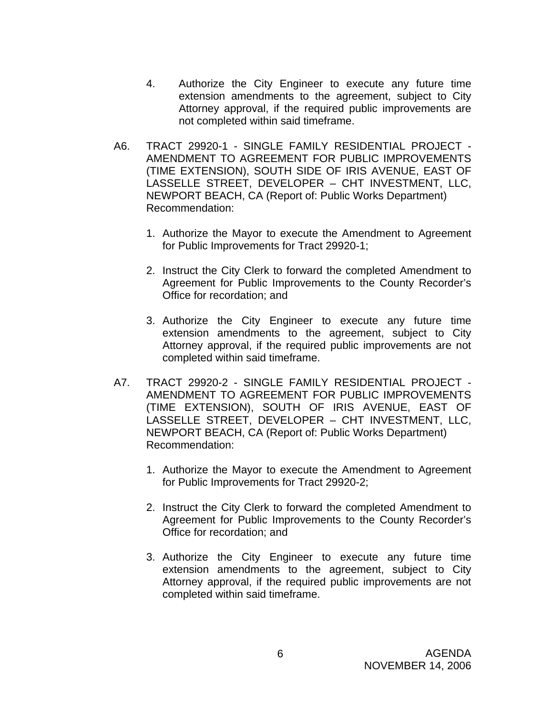- 4. Authorize the City Engineer to execute any future time extension amendments to the agreement, subject to City Attorney approval, if the required public improvements are not completed within said timeframe.
- A6. TRACT 29920-1 SINGLE FAMILY RESIDENTIAL PROJECT AMENDMENT TO AGREEMENT FOR PUBLIC IMPROVEMENTS (TIME EXTENSION), SOUTH SIDE OF IRIS AVENUE, EAST OF LASSELLE STREET, DEVELOPER – CHT INVESTMENT, LLC, NEWPORT BEACH, CA (Report of: Public Works Department) Recommendation:
	- 1. Authorize the Mayor to execute the Amendment to Agreement for Public Improvements for Tract 29920-1;
	- 2. Instruct the City Clerk to forward the completed Amendment to Agreement for Public Improvements to the County Recorder's Office for recordation; and
	- 3. Authorize the City Engineer to execute any future time extension amendments to the agreement, subject to City Attorney approval, if the required public improvements are not completed within said timeframe.
- A7. TRACT 29920-2 SINGLE FAMILY RESIDENTIAL PROJECT AMENDMENT TO AGREEMENT FOR PUBLIC IMPROVEMENTS (TIME EXTENSION), SOUTH OF IRIS AVENUE, EAST OF LASSELLE STREET, DEVELOPER – CHT INVESTMENT, LLC, NEWPORT BEACH, CA (Report of: Public Works Department) Recommendation:
	- 1. Authorize the Mayor to execute the Amendment to Agreement for Public Improvements for Tract 29920-2;
	- 2. Instruct the City Clerk to forward the completed Amendment to Agreement for Public Improvements to the County Recorder's Office for recordation; and
	- 3. Authorize the City Engineer to execute any future time extension amendments to the agreement, subject to City Attorney approval, if the required public improvements are not completed within said timeframe.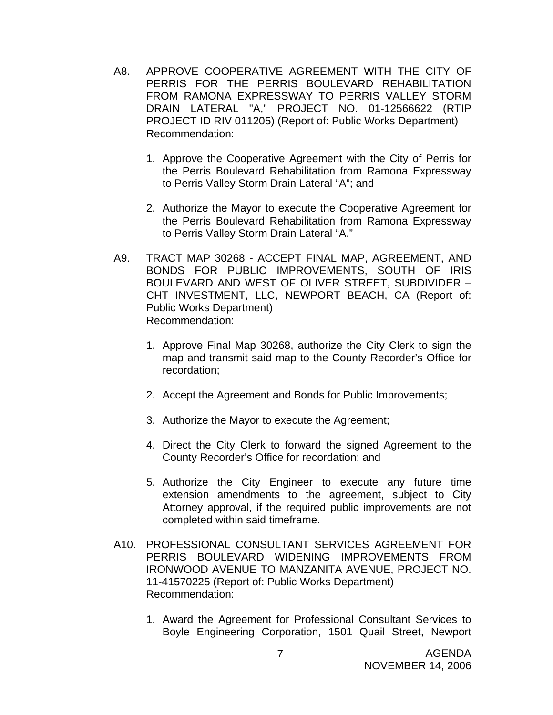- A8. APPROVE COOPERATIVE AGREEMENT WITH THE CITY OF PERRIS FOR THE PERRIS BOULEVARD REHABILITATION FROM RAMONA EXPRESSWAY TO PERRIS VALLEY STORM DRAIN LATERAL "A," PROJECT NO. 01-12566622 (RTIP PROJECT ID RIV 011205) (Report of: Public Works Department) Recommendation:
	- 1. Approve the Cooperative Agreement with the City of Perris for the Perris Boulevard Rehabilitation from Ramona Expressway to Perris Valley Storm Drain Lateral "A"; and
	- 2. Authorize the Mayor to execute the Cooperative Agreement for the Perris Boulevard Rehabilitation from Ramona Expressway to Perris Valley Storm Drain Lateral "A."
- A9. TRACT MAP 30268 ACCEPT FINAL MAP, AGREEMENT, AND BONDS FOR PUBLIC IMPROVEMENTS, SOUTH OF IRIS BOULEVARD AND WEST OF OLIVER STREET, SUBDIVIDER – CHT INVESTMENT, LLC, NEWPORT BEACH, CA (Report of: Public Works Department) Recommendation:
	- 1. Approve Final Map 30268, authorize the City Clerk to sign the map and transmit said map to the County Recorder's Office for recordation;
	- 2. Accept the Agreement and Bonds for Public Improvements;
	- 3. Authorize the Mayor to execute the Agreement;
	- 4. Direct the City Clerk to forward the signed Agreement to the County Recorder's Office for recordation; and
	- 5. Authorize the City Engineer to execute any future time extension amendments to the agreement, subject to City Attorney approval, if the required public improvements are not completed within said timeframe.
- A10. PROFESSIONAL CONSULTANT SERVICES AGREEMENT FOR PERRIS BOULEVARD WIDENING IMPROVEMENTS FROM IRONWOOD AVENUE TO MANZANITA AVENUE, PROJECT NO. 11-41570225 (Report of: Public Works Department) Recommendation:
	- 1. Award the Agreement for Professional Consultant Services to Boyle Engineering Corporation, 1501 Quail Street, Newport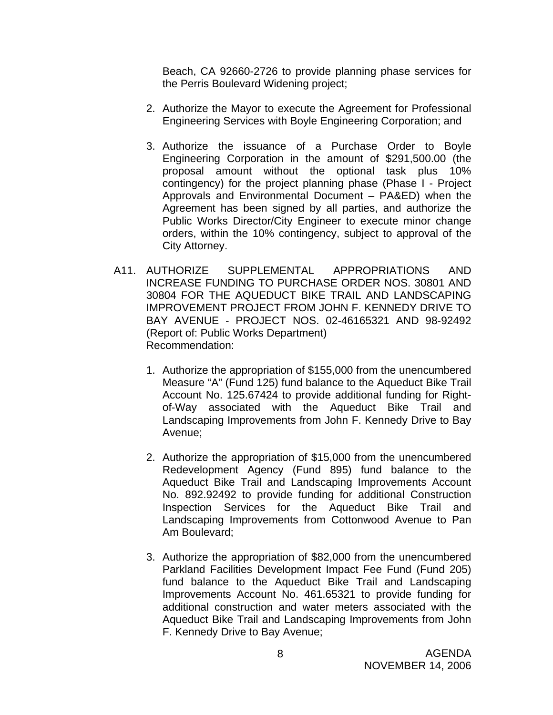Beach, CA 92660-2726 to provide planning phase services for the Perris Boulevard Widening project;

- 2. Authorize the Mayor to execute the Agreement for Professional Engineering Services with Boyle Engineering Corporation; and
- 3. Authorize the issuance of a Purchase Order to Boyle Engineering Corporation in the amount of \$291,500.00 (the proposal amount without the optional task plus 10% contingency) for the project planning phase (Phase I - Project Approvals and Environmental Document – PA&ED) when the Agreement has been signed by all parties, and authorize the Public Works Director/City Engineer to execute minor change orders, within the 10% contingency, subject to approval of the City Attorney.
- A11. AUTHORIZE SUPPLEMENTAL APPROPRIATIONS AND INCREASE FUNDING TO PURCHASE ORDER NOS. 30801 AND 30804 FOR THE AQUEDUCT BIKE TRAIL AND LANDSCAPING IMPROVEMENT PROJECT FROM JOHN F. KENNEDY DRIVE TO BAY AVENUE - PROJECT NOS. 02-46165321 AND 98-92492 (Report of: Public Works Department) Recommendation:
	- 1. Authorize the appropriation of \$155,000 from the unencumbered Measure "A" (Fund 125) fund balance to the Aqueduct Bike Trail Account No. 125.67424 to provide additional funding for Rightof-Way associated with the Aqueduct Bike Trail and Landscaping Improvements from John F. Kennedy Drive to Bay Avenue;
	- 2. Authorize the appropriation of \$15,000 from the unencumbered Redevelopment Agency (Fund 895) fund balance to the Aqueduct Bike Trail and Landscaping Improvements Account No. 892.92492 to provide funding for additional Construction Inspection Services for the Aqueduct Bike Trail and Landscaping Improvements from Cottonwood Avenue to Pan Am Boulevard;
	- 3. Authorize the appropriation of \$82,000 from the unencumbered Parkland Facilities Development Impact Fee Fund (Fund 205) fund balance to the Aqueduct Bike Trail and Landscaping Improvements Account No. 461.65321 to provide funding for additional construction and water meters associated with the Aqueduct Bike Trail and Landscaping Improvements from John F. Kennedy Drive to Bay Avenue;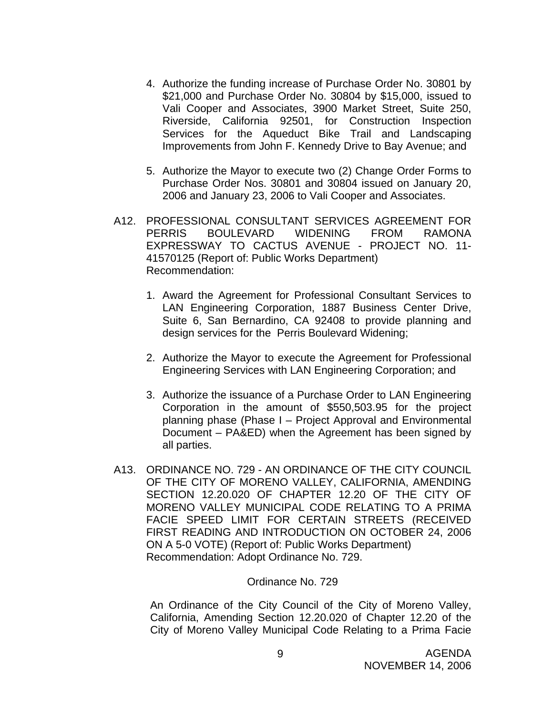- 4. Authorize the funding increase of Purchase Order No. 30801 by \$21,000 and Purchase Order No. 30804 by \$15,000, issued to Vali Cooper and Associates, 3900 Market Street, Suite 250, Riverside, California 92501, for Construction Inspection Services for the Aqueduct Bike Trail and Landscaping Improvements from John F. Kennedy Drive to Bay Avenue; and
- 5. Authorize the Mayor to execute two (2) Change Order Forms to Purchase Order Nos. 30801 and 30804 issued on January 20, 2006 and January 23, 2006 to Vali Cooper and Associates.
- A12. PROFESSIONAL CONSULTANT SERVICES AGREEMENT FOR PERRIS BOULEVARD WIDENING FROM RAMONA EXPRESSWAY TO CACTUS AVENUE - PROJECT NO. 11- 41570125 (Report of: Public Works Department) Recommendation:
	- 1. Award the Agreement for Professional Consultant Services to LAN Engineering Corporation, 1887 Business Center Drive, Suite 6, San Bernardino, CA 92408 to provide planning and design services for the Perris Boulevard Widening;
	- 2. Authorize the Mayor to execute the Agreement for Professional Engineering Services with LAN Engineering Corporation; and
	- 3. Authorize the issuance of a Purchase Order to LAN Engineering Corporation in the amount of \$550,503.95 for the project planning phase (Phase I – Project Approval and Environmental Document – PA&ED) when the Agreement has been signed by all parties.
- A13. ORDINANCE NO. 729 AN ORDINANCE OF THE CITY COUNCIL OF THE CITY OF MORENO VALLEY, CALIFORNIA, AMENDING SECTION 12.20.020 OF CHAPTER 12.20 OF THE CITY OF MORENO VALLEY MUNICIPAL CODE RELATING TO A PRIMA FACIE SPEED LIMIT FOR CERTAIN STREETS (RECEIVED FIRST READING AND INTRODUCTION ON OCTOBER 24, 2006 ON A 5-0 VOTE) (Report of: Public Works Department) Recommendation: Adopt Ordinance No. 729.

#### Ordinance No. 729

An Ordinance of the City Council of the City of Moreno Valley, California, Amending Section 12.20.020 of Chapter 12.20 of the City of Moreno Valley Municipal Code Relating to a Prima Facie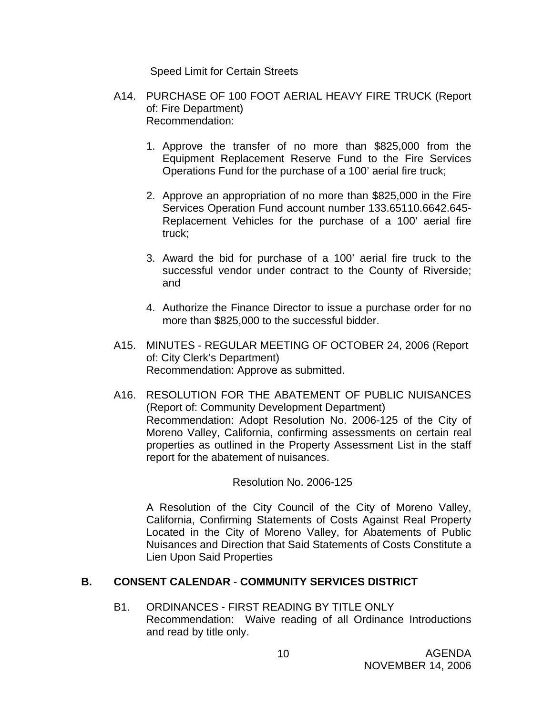Speed Limit for Certain Streets

- A14. PURCHASE OF 100 FOOT AERIAL HEAVY FIRE TRUCK (Report of: Fire Department) Recommendation:
	- 1. Approve the transfer of no more than \$825,000 from the Equipment Replacement Reserve Fund to the Fire Services Operations Fund for the purchase of a 100' aerial fire truck;
	- 2. Approve an appropriation of no more than \$825,000 in the Fire Services Operation Fund account number 133.65110.6642.645- Replacement Vehicles for the purchase of a 100' aerial fire truck;
	- 3. Award the bid for purchase of a 100' aerial fire truck to the successful vendor under contract to the County of Riverside; and
	- 4. Authorize the Finance Director to issue a purchase order for no more than \$825,000 to the successful bidder.
- A15. MINUTES REGULAR MEETING OF OCTOBER 24, 2006 (Report of: City Clerk's Department) Recommendation: Approve as submitted.
- A16. RESOLUTION FOR THE ABATEMENT OF PUBLIC NUISANCES (Report of: Community Development Department) Recommendation: Adopt Resolution No. 2006-125 of the City of Moreno Valley, California, confirming assessments on certain real properties as outlined in the Property Assessment List in the staff report for the abatement of nuisances.

#### Resolution No. 2006-125

A Resolution of the City Council of the City of Moreno Valley, California, Confirming Statements of Costs Against Real Property Located in the City of Moreno Valley, for Abatements of Public Nuisances and Direction that Said Statements of Costs Constitute a Lien Upon Said Properties

#### **B. CONSENT CALENDAR** - **COMMUNITY SERVICES DISTRICT**

B1. ORDINANCES - FIRST READING BY TITLE ONLY Recommendation: Waive reading of all Ordinance Introductions and read by title only.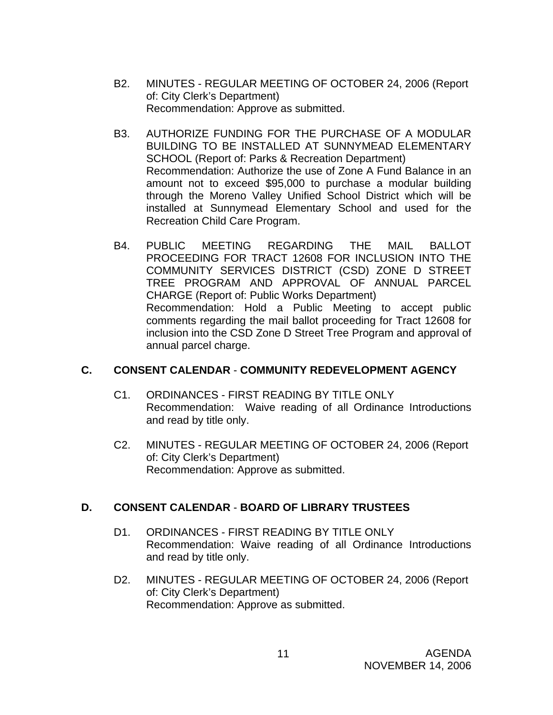- B2. MINUTES REGULAR MEETING OF OCTOBER 24, 2006 (Report of: City Clerk's Department) Recommendation: Approve as submitted.
- B3. AUTHORIZE FUNDING FOR THE PURCHASE OF A MODULAR BUILDING TO BE INSTALLED AT SUNNYMEAD ELEMENTARY SCHOOL (Report of: Parks & Recreation Department) Recommendation: Authorize the use of Zone A Fund Balance in an amount not to exceed \$95,000 to purchase a modular building through the Moreno Valley Unified School District which will be installed at Sunnymead Elementary School and used for the Recreation Child Care Program.
- B4. PUBLIC MEETING REGARDING THE MAIL BALLOT PROCEEDING FOR TRACT 12608 FOR INCLUSION INTO THE COMMUNITY SERVICES DISTRICT (CSD) ZONE D STREET TREE PROGRAM AND APPROVAL OF ANNUAL PARCEL CHARGE (Report of: Public Works Department) Recommendation: Hold a Public Meeting to accept public comments regarding the mail ballot proceeding for Tract 12608 for inclusion into the CSD Zone D Street Tree Program and approval of annual parcel charge.

# **C. CONSENT CALENDAR** - **COMMUNITY REDEVELOPMENT AGENCY**

- C1. ORDINANCES FIRST READING BY TITLE ONLY Recommendation: Waive reading of all Ordinance Introductions and read by title only.
- C2. MINUTES REGULAR MEETING OF OCTOBER 24, 2006 (Report of: City Clerk's Department) Recommendation: Approve as submitted.

# **D. CONSENT CALENDAR** - **BOARD OF LIBRARY TRUSTEES**

- D1. ORDINANCES FIRST READING BY TITLE ONLY Recommendation: Waive reading of all Ordinance Introductions and read by title only.
- D2. MINUTES REGULAR MEETING OF OCTOBER 24, 2006 (Report of: City Clerk's Department) Recommendation: Approve as submitted.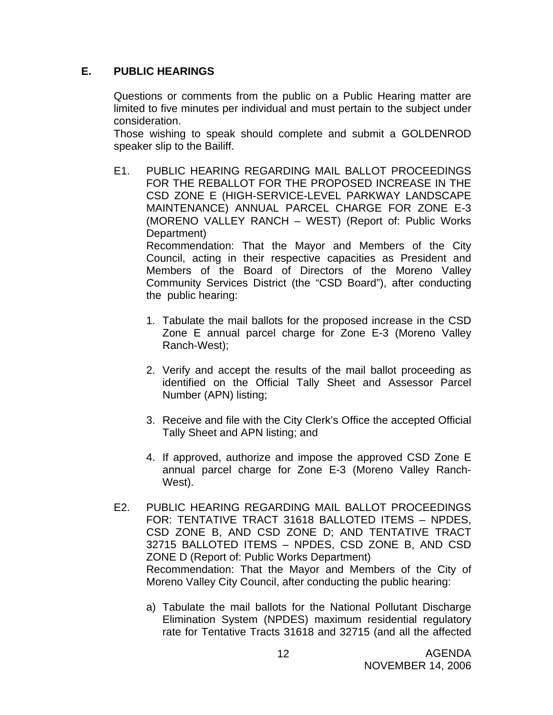#### **E. PUBLIC HEARINGS**

Questions or comments from the public on a Public Hearing matter are limited to five minutes per individual and must pertain to the subject under consideration.

 Those wishing to speak should complete and submit a GOLDENROD speaker slip to the Bailiff.

E1. PUBLIC HEARING REGARDING MAIL BALLOT PROCEEDINGS FOR THE REBALLOT FOR THE PROPOSED INCREASE IN THE CSD ZONE E (HIGH-SERVICE-LEVEL PARKWAY LANDSCAPE MAINTENANCE) ANNUAL PARCEL CHARGE FOR ZONE E-3 (MORENO VALLEY RANCH – WEST) (Report of: Public Works Department)

 Recommendation: That the Mayor and Members of the City Council, acting in their respective capacities as President and Members of the Board of Directors of the Moreno Valley Community Services District (the "CSD Board"), after conducting the public hearing:

- 1. Tabulate the mail ballots for the proposed increase in the CSD Zone E annual parcel charge for Zone E-3 (Moreno Valley Ranch-West);
- 2. Verify and accept the results of the mail ballot proceeding as identified on the Official Tally Sheet and Assessor Parcel Number (APN) listing;
- 3. Receive and file with the City Clerk's Office the accepted Official Tally Sheet and APN listing; and
- 4. If approved, authorize and impose the approved CSD Zone E annual parcel charge for Zone E-3 (Moreno Valley Ranch-West).
- E2. PUBLIC HEARING REGARDING MAIL BALLOT PROCEEDINGS FOR: TENTATIVE TRACT 31618 BALLOTED ITEMS – NPDES, CSD ZONE B, AND CSD ZONE D; AND TENTATIVE TRACT 32715 BALLOTED ITEMS – NPDES, CSD ZONE B, AND CSD ZONE D (Report of: Public Works Department) Recommendation: That the Mayor and Members of the City of Moreno Valley City Council, after conducting the public hearing:
	- a) Tabulate the mail ballots for the National Pollutant Discharge Elimination System (NPDES) maximum residential regulatory rate for Tentative Tracts 31618 and 32715 (and all the affected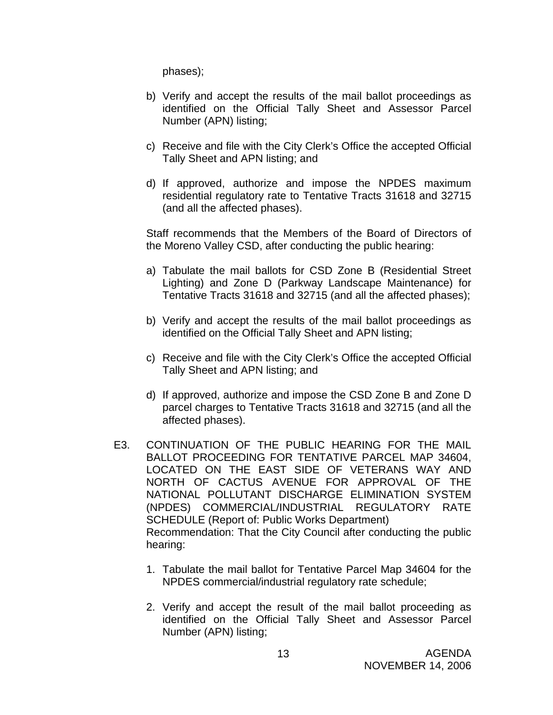phases);

- b) Verify and accept the results of the mail ballot proceedings as identified on the Official Tally Sheet and Assessor Parcel Number (APN) listing;
- c) Receive and file with the City Clerk's Office the accepted Official Tally Sheet and APN listing; and
- d) If approved, authorize and impose the NPDES maximum residential regulatory rate to Tentative Tracts 31618 and 32715 (and all the affected phases).

 Staff recommends that the Members of the Board of Directors of the Moreno Valley CSD, after conducting the public hearing:

- a) Tabulate the mail ballots for CSD Zone B (Residential Street Lighting) and Zone D (Parkway Landscape Maintenance) for Tentative Tracts 31618 and 32715 (and all the affected phases);
- b) Verify and accept the results of the mail ballot proceedings as identified on the Official Tally Sheet and APN listing;
- c) Receive and file with the City Clerk's Office the accepted Official Tally Sheet and APN listing; and
- d) If approved, authorize and impose the CSD Zone B and Zone D parcel charges to Tentative Tracts 31618 and 32715 (and all the affected phases).
- E3. CONTINUATION OF THE PUBLIC HEARING FOR THE MAIL BALLOT PROCEEDING FOR TENTATIVE PARCEL MAP 34604, LOCATED ON THE EAST SIDE OF VETERANS WAY AND NORTH OF CACTUS AVENUE FOR APPROVAL OF THE NATIONAL POLLUTANT DISCHARGE ELIMINATION SYSTEM (NPDES) COMMERCIAL/INDUSTRIAL REGULATORY RATE SCHEDULE (Report of: Public Works Department) Recommendation: That the City Council after conducting the public hearing:
	- 1. Tabulate the mail ballot for Tentative Parcel Map 34604 for the NPDES commercial/industrial regulatory rate schedule;
	- 2. Verify and accept the result of the mail ballot proceeding as identified on the Official Tally Sheet and Assessor Parcel Number (APN) listing;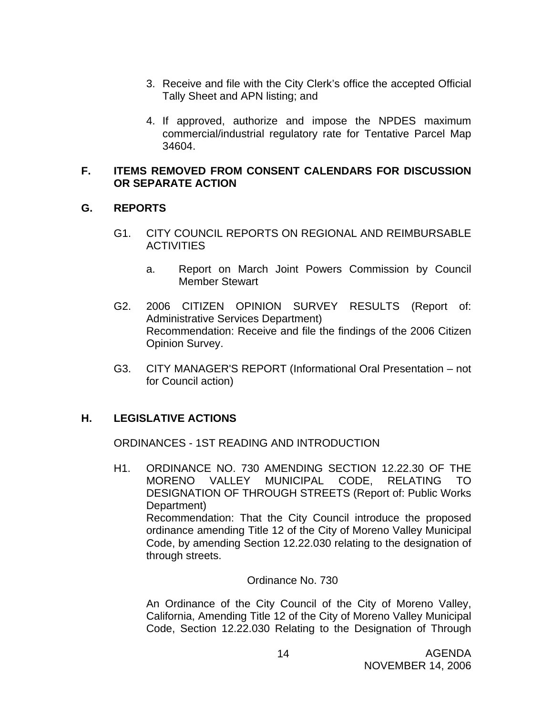- 3. Receive and file with the City Clerk's office the accepted Official Tally Sheet and APN listing; and
- 4. If approved, authorize and impose the NPDES maximum commercial/industrial regulatory rate for Tentative Parcel Map 34604.

#### **F. ITEMS REMOVED FROM CONSENT CALENDARS FOR DISCUSSION OR SEPARATE ACTION**

# **G. REPORTS**

- G1. CITY COUNCIL REPORTS ON REGIONAL AND REIMBURSABLE **ACTIVITIES** 
	- a. Report on March Joint Powers Commission by Council Member Stewart
- G2. 2006 CITIZEN OPINION SURVEY RESULTS (Report of: Administrative Services Department) Recommendation: Receive and file the findings of the 2006 Citizen Opinion Survey.
- G3. CITY MANAGER'S REPORT (Informational Oral Presentation not for Council action)

# **H. LEGISLATIVE ACTIONS**

ORDINANCES - 1ST READING AND INTRODUCTION

H1. ORDINANCE NO. 730 AMENDING SECTION 12.22.30 OF THE MORENO VALLEY MUNICIPAL CODE, RELATING TO DESIGNATION OF THROUGH STREETS (Report of: Public Works Department) Recommendation: That the City Council introduce the proposed ordinance amending Title 12 of the City of Moreno Valley Municipal Code, by amending Section 12.22.030 relating to the designation of through streets.

#### Ordinance No. 730

An Ordinance of the City Council of the City of Moreno Valley, California, Amending Title 12 of the City of Moreno Valley Municipal Code, Section 12.22.030 Relating to the Designation of Through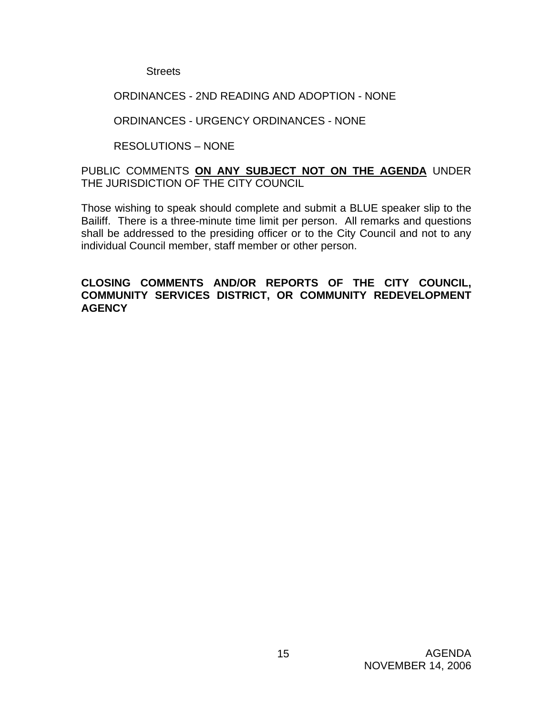**Streets** 

#### ORDINANCES - 2ND READING AND ADOPTION - NONE

#### ORDINANCES - URGENCY ORDINANCES - NONE

#### RESOLUTIONS – NONE

#### PUBLIC COMMENTS **ON ANY SUBJECT NOT ON THE AGENDA** UNDER THE JURISDICTION OF THE CITY COUNCIL

Those wishing to speak should complete and submit a BLUE speaker slip to the Bailiff. There is a three-minute time limit per person. All remarks and questions shall be addressed to the presiding officer or to the City Council and not to any individual Council member, staff member or other person.

#### **CLOSING COMMENTS AND/OR REPORTS OF THE CITY COUNCIL, COMMUNITY SERVICES DISTRICT, OR COMMUNITY REDEVELOPMENT AGENCY**